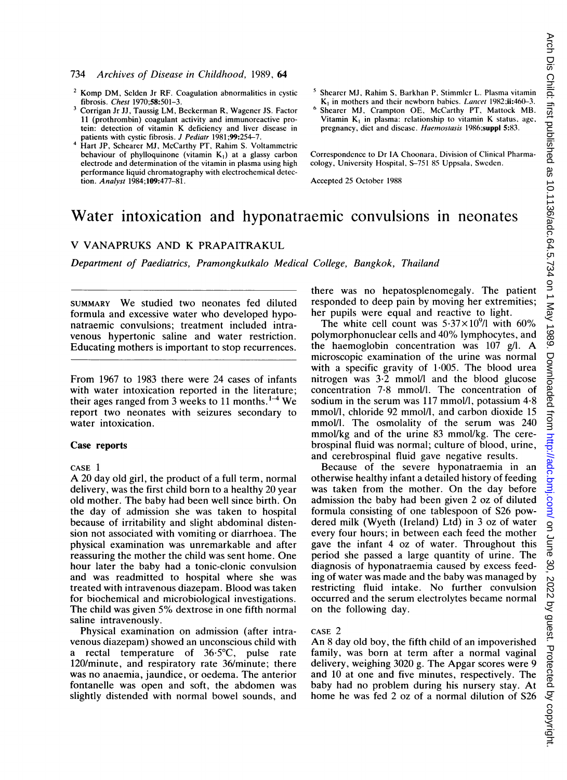## 734 Archives of Disease in Childhood, 1989, 64

- <sup>2</sup> Komp DM, Selden Jr RF. Coagulation abnormalities in cystic fibrosis. Chest 1970;58:501-3.
- <sup>3</sup> Corrigan Jr JJ, Taussig LM, Beckerman R, Wagener JS. Factor 11 (prothrombin) coagulant activity and immunoreactive protein: detection of vitamin K deficiency and liver disease in patients with cystic fibrosis. J Pediatr 1981;99:254-7.
- Hart JP, Schearer MJ, McCarthy PT, Rahim S. Voltammetric behaviour of phylloquinone (vitamin K,) at a glassy carbon electrode and determination of the vitamin in plasma using high performance liquid chromatography with electrochemical detection. Analyst 1984;109:477-81.
- <sup>5</sup> Shearer MJ, Rahim S, Barkhan P, Stimmler L. Plasma vitamin  $K<sub>1</sub>$  in mothers and their newborn babies. Lancet 1982;ii:460-3.
- Shearer MJ, Crampton OE, McCarthy PT, Mattock MB. Vitamin  $K_1$  in plasma: relationship to vitamin K status, age, pregnancy, diet and disease. Haemostasis 1986;suppl 5:83.

Correspondence to Dr IA Choonara, Division of Clinical Pharmacology, University Hospital, S-751 85 Uppsala, Sweden.

Accepted 25 October 1988

# Water intoxication and hyponatraemic convulsions in neonates

# V VANAPRUKS AND K PRAPAITRAKUL

Department of Paediatrics, Pramongkutkalo Medical College, Bangkok, Thailand

SUMMARY We studied two neonates fed diluted formula and excessive water who developed hyponatraemic convulsions; treatment included intravenous hypertonic saline and water restriction. Educating mothers is important to stop recurrences.

From 1967 to 1983 there were 24 cases of infants with water intoxication reported in the literature; their ages ranged from 3 weeks to 11 months.  $1-4$  We report two neonates with seizures secondary to water intoxication.

#### Case reports

#### CASE <sup>1</sup>

A <sup>20</sup> day old girl, the product of <sup>a</sup> full term, normal delivery, was the first child born to a healthy 20 year old mother. The baby had been well since birth. On the day of admission she was taken to hospital because of irritability and slight abdominal distension not associated with vomiting or diarrhoea. The physical examination was unremarkable and after reassuring the mother the child was sent home. One hour later the baby had a tonic-clonic convulsion and was readmitted to hospital where she was treated with intravenous diazepam. Blood was taken for biochemical and microbiological investigations. The child was given 5% dextrose in one fifth normal saline intravenously.

Physical examination on admission (after intravenous diazepam) showed an unconscious child with a rectal temperature of  $36.5^{\circ}$ C, pulse rate 120/minute, and respiratory rate 36/minute; there was no anaemia, jaundice, or oedema. The anterior fontanelle was open and soft, the abdomen was slightly distended with normal bowel sounds, and there was no hepatosplenomegaly. The patient responded to deep pain by moving her extremities; her pupils were equal and reactive to light.

The white cell count was  $5.37\times10^{9}$ /l with 60% polymorphonuclear cells and 40% lymphocytes, and the haemoglobin concentration was  $107$  g/l. A microscopic examination of the urine was normal with a specific gravity of 1-005. The blood urea nitrogen was  $3-2$  mmol/l and the blood glucose concentration 7-8 mmol/l. The concentration of sodium in the serum was 117 mmol/l, potassium  $4.8$ mmol/l, chloride 92 mmol/l, and carbon dioxide 15 mmol/l. The osmolality of the serum was 240 mmol/kg and of the urine 83 mmol/kg. The cerebrospinal fluid was normal; culture of blood, urine, and cerebrospinal fluid gave negative results.

Because of the severe hyponatraemia in an otherwise healthy infant a detailed history of feeding was taken from the mother. On the day before admission the baby had been given 2 oz of diluted formula consisting of one tablespoon of S26 powdered milk (Wyeth (Ireland) Ltd) in 3 oz of water every four hours; in between each feed the mother gave the infant 4 oz of water. Throughout this period she passed a large quantity of urine. The diagnosis of hyponatraemia caused by excess feeding of water was made and the baby was managed by restricting fluid intake. No further convulsion occurred and the serum electrolytes became normal on the following day.

#### CASE 2

An <sup>8</sup> day old boy, the fifth child of an impoverished family, was born at term after a normal vaginal delivery, weighing 3020 g. The Apgar scores were 9 and 10 at one and five minutes, respectively. The baby had no problem during his nursery stay. At home he was fed 2 oz of a normal dilution of S26